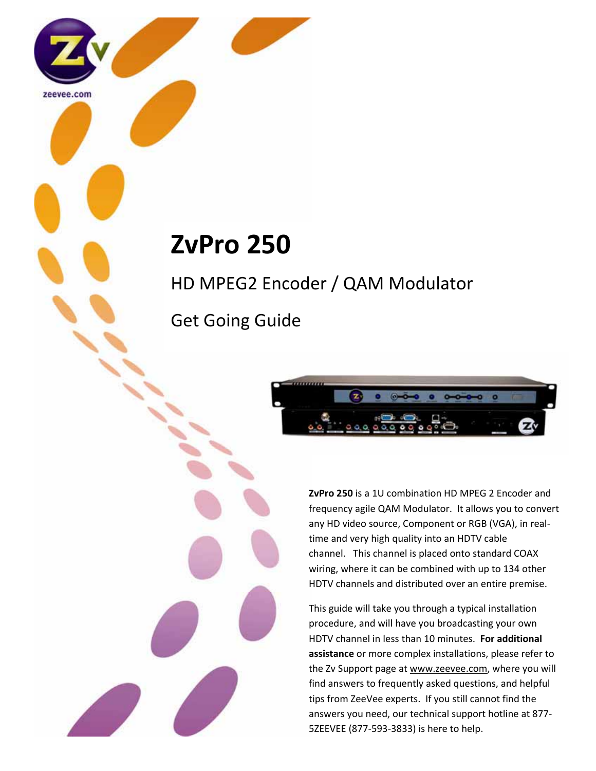# **ZvPro 250**

zeevee.com

HD MPEG2 Encoder / QAM Modulator

 $\mathbf{z}$ 

Get Going Guide



**ZvPro 250** is a 1U combination HD MPEG 2 Encoder and frequency agile QAM Modulator. It allows you to convert any HD video source, Component or RGB (VGA), in real‐ time and very high quality into an HDTV cable channel. This channel is placed onto standard COAX wiring, where it can be combined with up to 134 other HDTV channels and distributed over an entire premise.

 $\bullet$ 

This guide will take you through a typical installation procedure, and will have you broadcasting your own HDTV channel in less than 10 minutes. **For additional assistance** or more complex installations, please refer to the Zv Support page at www.zeevee.com, where you will find answers to frequently asked questions, and helpful tips from ZeeVee experts. If you still cannot find the answers you need, our technical support hotline at 877‐ 5ZEEVEE (877‐593‐3833) is here to help.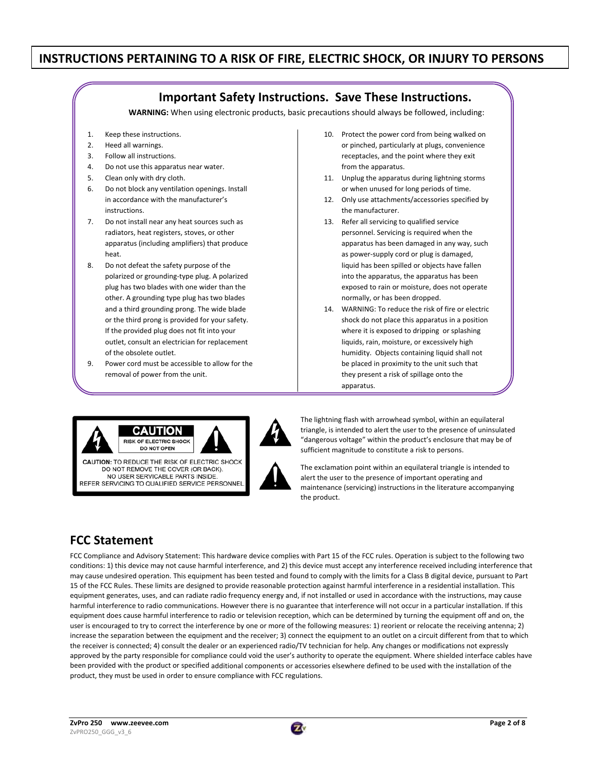## **INSTRUCTIONS PERTAINING TO A RISK OF FIRE, ELECTRIC SHOCK, OR INJURY TO PERSONS**

### **Important Safety Instructions. Save These Instructions.**

**WARNING:** When using electronic products, basic precautions should always be followed, including:

- 1. Keep these instructions.
- 2. Heed all warnings.
- 3. Follow all instructions.
- 4. Do not use this apparatus near water.
- 5. Clean only with dry cloth.
- 6. Do not block any ventilation openings. Install in accordance with the manufacturer's instructions.
- 7. Do not install near any heat sources such as radiators, heat registers, stoves, or other apparatus (including amplifiers) that produce heat.
- 8. Do not defeat the safety purpose of the polarized or grounding‐type plug. A polarized plug has two blades with one wider than the other. A grounding type plug has two blades and a third grounding prong. The wide blade or the third prong is provided for your safety. If the provided plug does not fit into your outlet, consult an electrician for replacement of the obsolete outlet.
- 9. Power cord must be accessible to allow for the removal of power from the unit.
- 10. Protect the power cord from being walked on or pinched, particularly at plugs, convenience receptacles, and the point where they exit from the apparatus.
- 11. Unplug the apparatus during lightning storms or when unused for long periods of time.
- 12. Only use attachments/accessories specified by the manufacturer.
- 13. Refer all servicing to qualified service personnel. Servicing is required when the apparatus has been damaged in any way, such as power‐supply cord or plug is damaged, liquid has been spilled or objects have fallen into the apparatus, the apparatus has been exposed to rain or moisture, does not operate normally, or has been dropped.
- 14. WARNING: To reduce the risk of fire or electric shock do not place this apparatus in a position where it is exposed to dripping or splashing liquids, rain, moisture, or excessively high humidity. Objects containing liquid shall not be placed in proximity to the unit such that they present a risk of spillage onto the apparatus.



**CAUTION: TO REDUCE THE RISK OF ELECTRIC SHOCK** DO NOT REMOVE THE COVER (OR BACK). NO USER SERVICABLE PARTS INSIDE. REFER SERVICING TO QUALIFIED SERVICE PERSONNEL



The lightning flash with arrowhead symbol, within an equilateral triangle, is intended to alert the user to the presence of uninsulated "dangerous voltage" within the product's enclosure that may be of sufficient magnitude to constitute a risk to persons.

The exclamation point within an equilateral triangle is intended to alert the user to the presence of important operating and maintenance (servicing) instructions in the literature accompanying the product.

## **FCC Statement**

FCC Compliance and Advisory Statement: This hardware device complies with Part 15 of the FCC rules. Operation is subject to the following two conditions: 1) this device may not cause harmful interference, and 2) this device must accept any interference received including interference that may cause undesired operation. This equipment has been tested and found to comply with the limits for a Class B digital device, pursuant to Part 15 of the FCC Rules. These limits are designed to provide reasonable protection against harmful interference in a residential installation. This equipment generates, uses, and can radiate radio frequency energy and, if not installed or used in accordance with the instructions, may cause harmful interference to radio communications. However there is no guarantee that interference will not occur in a particular installation. If this equipment does cause harmful interference to radio or television reception, which can be determined by turning the equipment off and on, the user is encouraged to try to correct the interference by one or more of the following measures: 1) reorient or relocate the receiving antenna; 2) increase the separation between the equipment and the receiver; 3) connect the equipment to an outlet on a circuit different from that to which the receiver is connected; 4) consult the dealer or an experienced radio/TV technician for help. Any changes or modifications not expressly approved by the party responsible for compliance could void the user's authority to operate the equipment. Where shielded interface cables have been provided with the product or specified additional components or accessories elsewhere defined to be used with the installation of the product, they must be used in order to ensure compliance with FCC regulations.

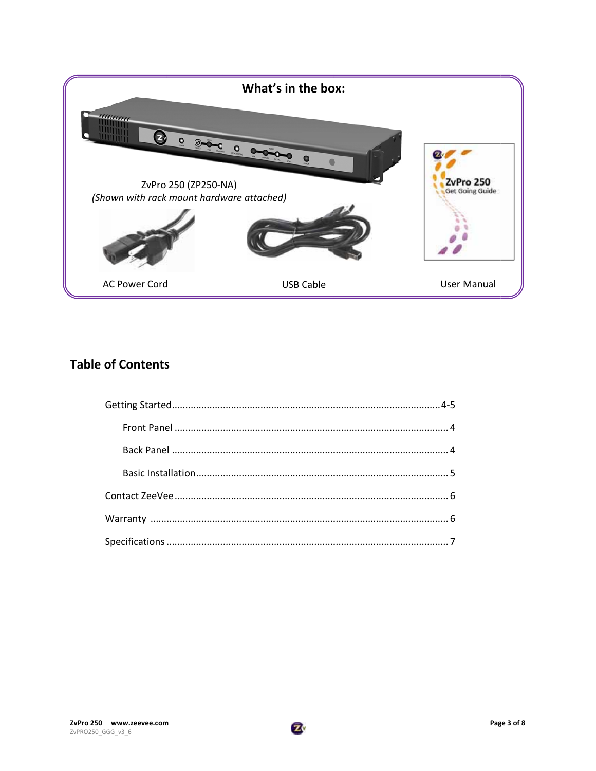

# **Table of Contents**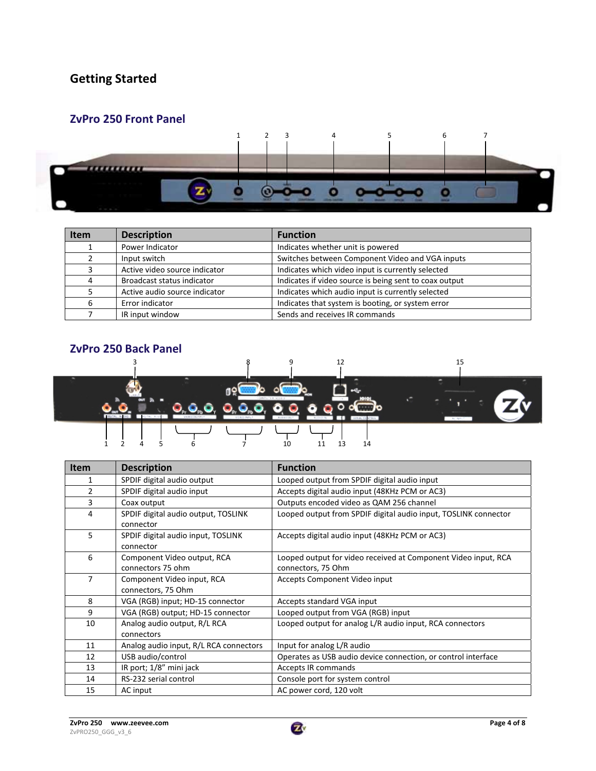# **Getting Started**

#### **ZvPro 250 Front Panel**



| <b>Item</b> | <b>Description</b>            | <b>Function</b>                                        |
|-------------|-------------------------------|--------------------------------------------------------|
|             | Power Indicator               | Indicates whether unit is powered                      |
|             | Input switch                  | Switches between Component Video and VGA inputs        |
|             | Active video source indicator | Indicates which video input is currently selected      |
| 4           | Broadcast status indicator    | Indicates if video source is being sent to coax output |
|             | Active audio source indicator | Indicates which audio input is currently selected      |
| 6           | Error indicator               | Indicates that system is booting, or system error      |
|             | IR input window               | Sends and receives IR commands                         |

#### **ZvPro 250 Back Panel**



| <b>Item</b> | <b>Description</b>                               | <b>Function</b>                                                                      |
|-------------|--------------------------------------------------|--------------------------------------------------------------------------------------|
| 1           | SPDIF digital audio output                       | Looped output from SPDIF digital audio input                                         |
| 2           | SPDIF digital audio input                        | Accepts digital audio input (48KHz PCM or AC3)                                       |
| 3           | Coax output                                      | Outputs encoded video as QAM 256 channel                                             |
| 4           | SPDIF digital audio output, TOSLINK<br>connector | Looped output from SPDIF digital audio input, TOSLINK connector                      |
| 5           | SPDIF digital audio input, TOSLINK<br>connector  | Accepts digital audio input (48KHz PCM or AC3)                                       |
| 6           | Component Video output, RCA<br>connectors 75 ohm | Looped output for video received at Component Video input, RCA<br>connectors, 75 Ohm |
| 7           | Component Video input, RCA<br>connectors, 75 Ohm | Accepts Component Video input                                                        |
| 8           | VGA (RGB) input; HD-15 connector                 | Accepts standard VGA input                                                           |
| 9           | VGA (RGB) output; HD-15 connector                | Looped output from VGA (RGB) input                                                   |
| 10          | Analog audio output, R/L RCA<br>connectors       | Looped output for analog L/R audio input, RCA connectors                             |
| 11          | Analog audio input, R/L RCA connectors           | Input for analog L/R audio                                                           |
| 12          | USB audio/control                                | Operates as USB audio device connection, or control interface                        |
| 13          | IR port; 1/8" mini jack                          | Accepts IR commands                                                                  |
| 14          | RS-232 serial control                            | Console port for system control                                                      |
| 15          | AC input                                         | AC power cord, 120 volt                                                              |

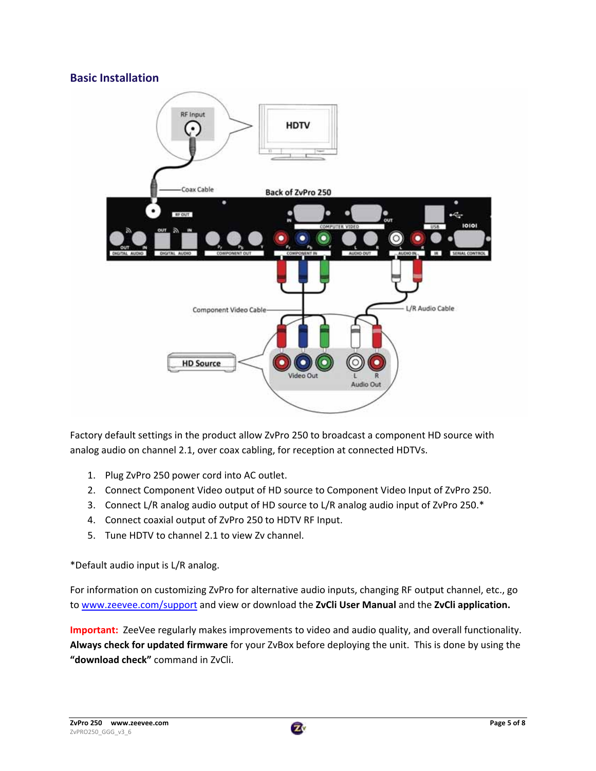### **Basic Installation**



Factory default settings in the product allow ZvPro 250 to broadcast a component HD source with analog audio on channel 2.1, over coax cabling, for reception at connected HDTVs.

- 1. Plug ZvPro 250 power cord into AC outlet.
- 2. Connect Component Video output of HD source to Component Video Input of ZvPro 250.
- 3. Connect L/R analog audio output of HD source to L/R analog audio input of ZvPro 250.\*
- 4. Connect coaxial output of ZvPro 250 to HDTV RF Input.
- 5. Tune HDTV to channel 2.1 to view Zv channel.

\*Default audio input is L/R analog.

For information on customizing ZvPro for alternative audio inputs, changing RF output channel, etc., go to www.zeevee.com/support and view or download the **ZvCli User Manual** and the **ZvCli application.**

**Important:** ZeeVee regularly makes improvements to video and audio quality, and overall functionality. **Always check for updated firmware** for your ZvBox before deploying the unit. This is done by using the **"download check"** command in ZvCli.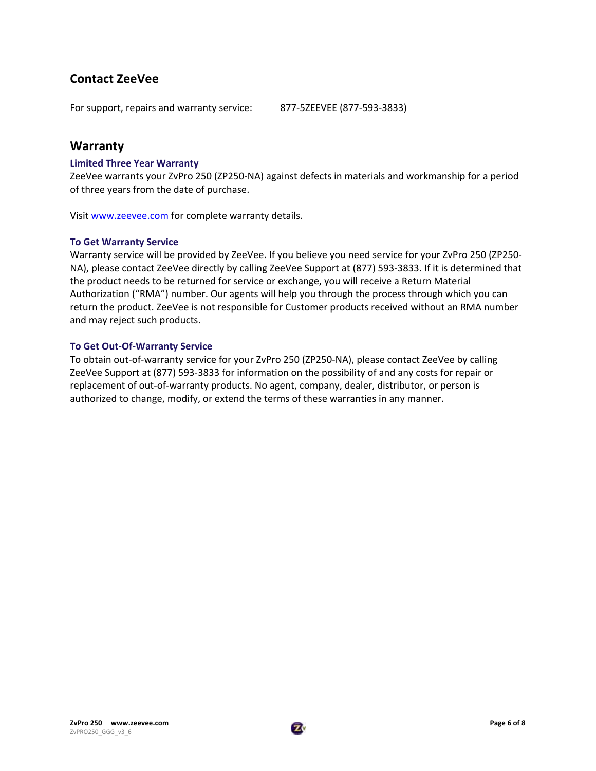## **Contact ZeeVee**

For support, repairs and warranty service: 877-52EEVEE (877-593-3833)

#### **Warranty**

#### **Limited Three Year Warranty**

ZeeVee warrants your ZvPro 250 (ZP250‐NA) against defects in materials and workmanship for a period of three years from the date of purchase.

Visit www.zeevee.com for complete warranty details.

#### **To Get Warranty Service**

Warranty service will be provided by ZeeVee. If you believe you need service for your ZvPro 250 (ZP250‐ NA), please contact ZeeVee directly by calling ZeeVee Support at (877) 593-3833. If it is determined that the product needs to be returned for service or exchange, you will receive a Return Material Authorization ("RMA") number. Our agents will help you through the process through which you can return the product. ZeeVee is not responsible for Customer products received without an RMA number and may reject such products.

#### **To Get Out‐Of‐Warranty Service**

To obtain out‐of‐warranty service for your ZvPro 250 (ZP250‐NA), please contact ZeeVee by calling ZeeVee Support at (877) 593‐3833 for information on the possibility of and any costs for repair or replacement of out‐of‐warranty products. No agent, company, dealer, distributor, or person is authorized to change, modify, or extend the terms of these warranties in any manner.

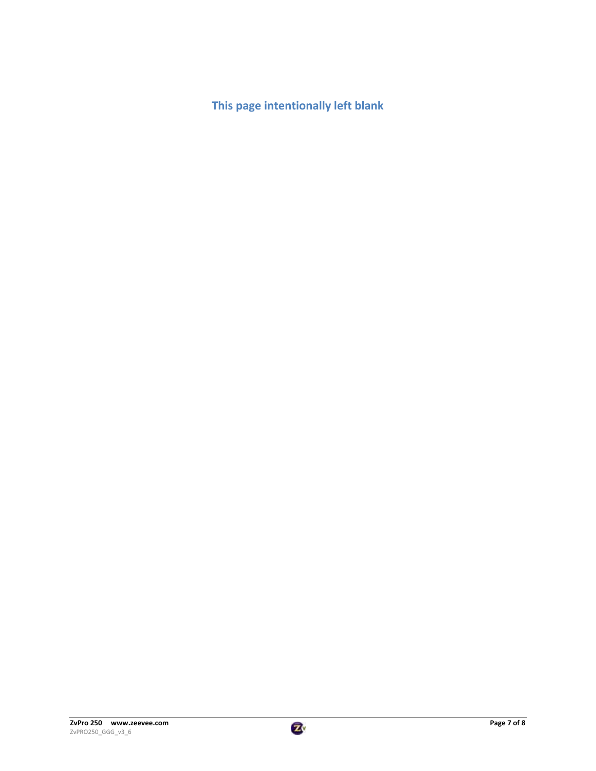**This page intentionally left blank**